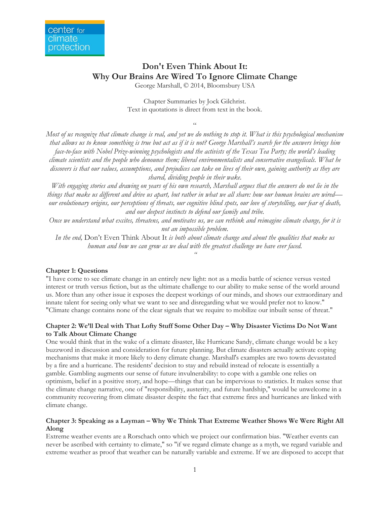# **Don't Even Think About It: Why Our Brains Are Wired To Ignore Climate Change**

George Marshall, © 2014, Bloomsbury USA

Chapter Summaries by Jock Gilchrist. Text in quotations is direct from text in the book.

 $\epsilon$ 

*Most of us recognize that climate change is real, and yet we do nothing to stop it. What is this psychological mechanism that allows us to know something is true but act as if it is not? George Marshall's search for the answers brings him face-to-face with Nobel Prize-winning psychologists and the activists of the Texas Tea Party; the world's leading climate scientists and the people who denounce them; liberal environmentalists and conservative evangelicals. What he discovers is that our values, assumptions, and prejudices can take on lives of their own, gaining authority as they are shared, dividing people in their wake.* 

*With engaging stories and drawing on years of his own research, Marshall argues that the answers do not lie in the things that make us different and drive us apart, but rather in what we all share: how our human brains are wired our evolutionary origins, our perceptions of threats, our cognitive blind spots, our love of storytelling, our fear of death, and our deepest instincts to defend our family and tribe.*

*Once we understand what excites, threatens, and motivates us, we can rethink and reimagine climate change, for it is not an impossible problem.* 

*In the end,* Don't Even Think About It *is both about climate change and about the qualities that make us human and how we can grow as we deal with the greatest challenge we have ever faced.*

*"*

# **Chapter 1: Questions**

"I have come to see climate change in an entirely new light: not as a media battle of science versus vested interest or truth versus fiction, but as the ultimate challenge to our ability to make sense of the world around us. More than any other issue it exposes the deepest workings of our minds, and shows our extraordinary and innate talent for seeing only what we want to see and disregarding what we would prefer not to know." "Climate change contains none of the clear signals that we require to mobilize our inbuilt sense of threat."

# **Chapter 2: We'll Deal with That Lofty Stuff Some Other Day – Why Disaster Victims Do Not Want to Talk About Climate Change**

One would think that in the wake of a climate disaster, like Hurricane Sandy, climate change would be a key buzzword in discussion and consideration for future planning. But climate disasters actually activate coping mechanisms that make it more likely to deny climate change. Marshall's examples are two towns devastated by a fire and a hurricane. The residents' decision to stay and rebuild instead of relocate is essentially a gamble. Gambling augments our sense of future invulnerability: to cope with a gamble one relies on optimism, belief in a positive story, and hope—things that can be impervious to statistics. It makes sense that the climate change narrative, one of "responsibility, austerity, and future hardship," would be unwelcome in a community recovering from climate disaster despite the fact that extreme fires and hurricanes are linked with climate change.

# **Chapter 3: Speaking as a Layman – Why We Think That Extreme Weather Shows We Were Right All Along**

Extreme weather events are a Rorschach onto which we project our confirmation bias. "Weather events can never be ascribed with certainty to climate," so "if we regard climate change as a myth, we regard variable and extreme weather as proof that weather can be naturally variable and extreme. If we are disposed to accept that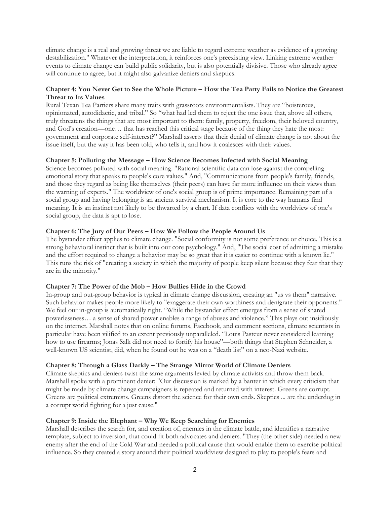climate change is a real and growing threat we are liable to regard extreme weather as evidence of a growing destabilization." Whatever the interpretation, it reinforces one's preexisting view. Linking extreme weather events to climate change can build public solidarity, but is also potentially divisive. Those who already agree will continue to agree, but it might also galvanize deniers and skeptics.

# **Chapter 4: You Never Get to See the Whole Picture – How the Tea Party Fails to Notice the Greatest Threat to Its Values**

Rural Texan Tea Partiers share many traits with grassroots environmentalists. They are "boisterous, opinionated, autodidactic, and tribal." So "what had led them to reject the one issue that, above all others, truly threatens the things that are most important to them: family, property, freedom, their beloved country, and God's creation—one… that has reached this critical stage because of the thing they hate the most: government and corporate self-interest?" Marshall asserts that their denial of climate change is not about the issue itself, but the way it has been told, who tells it, and how it coalesces with their values.

## **Chapter 5: Polluting the Message – How Science Becomes Infected with Social Meaning**

Science becomes polluted with social meaning. "Rational scientific data can lose against the compelling emotional story that speaks to people's core values." And, "Communications from people's family, friends, and those they regard as being like themselves (their peers) can have far more influence on their views than the warning of experts." The worldview of one's social group is of prime importance. Remaining part of a social group and having belonging is an ancient survival mechanism. It is core to the way humans find meaning. It is an instinct not likely to be thwarted by a chart. If data conflicts with the worldview of one's social group, the data is apt to lose.

# **Chapter 6: The Jury of Our Peers – How We Follow the People Around Us**

The bystander effect applies to climate change. "Social conformity is not some preference or choice. This is a strong behavioral instinct that is built into our core psychology." And, "The social cost of admitting a mistake and the effort required to change a behavior may be so great that it is easier to continue with a known lie." This runs the risk of "creating a society in which the majority of people keep silent because they fear that they are in the minority."

#### **Chapter 7: The Power of the Mob – How Bullies Hide in the Crowd**

In-group and out-group behavior is typical in climate change discussion, creating an "us vs them" narrative. Such behavior makes people more likely to "exaggerate their own worthiness and denigrate their opponents." We feel our in-group is automatically right. "While the bystander effect emerges from a sense of shared powerlessness… a sense of shared power enables a range of abuses and violence." This plays out insidiously on the internet. Marshall notes that on online forums, Facebook, and comment sections, climate scientists in particular have been vilified to an extent previously unparalleled. "Louis Pasteur never considered learning how to use firearms; Jonas Salk did not need to fortify his house"—both things that Stephen Schneider, a well-known US scientist, did, when he found out he was on a "death list" on a neo-Nazi website.

#### **Chapter 8: Through a Glass Darkly – The Strange Mirror World of Climate Deniers**

Climate skeptics and deniers twist the same arguments levied by climate activists and throw them back. Marshall spoke with a prominent denier: "Our discussion is marked by a banter in which every criticism that might be made by climate change campaigners is repeated and returned with interest. Greens are corrupt. Greens are political extremists. Greens distort the science for their own ends. Skeptics ... are the underdog in a corrupt world fighting for a just cause."

## **Chapter 9: Inside the Elephant – Why We Keep Searching for Enemies**

Marshall describes the search for, and creation of, enemies in the climate battle, and identifies a narrative template, subject to inversion, that could fit both advocates and deniers. "They (the other side) needed a new enemy after the end of the Cold War and needed a political cause that would enable them to exercise political influence. So they created a story around their political worldview designed to play to people's fears and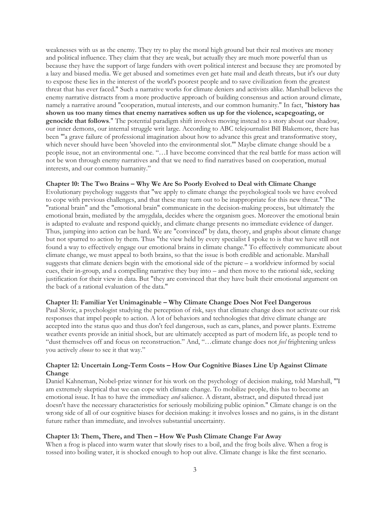weaknesses with us as the enemy. They try to play the moral high ground but their real motives are money and political influence. They claim that they are weak, but actually they are much more powerful than us because they have the support of large funders with overt political interest and because they are promoted by a lazy and biased media. We get abused and sometimes even get hate mail and death threats, but it's our duty to expose these lies in the interest of the world's poorest people and to save civilization from the greatest threat that has ever faced." Such a narrative works for climate deniers and activists alike. Marshall believes the enemy narrative distracts from a more productive approach of building consensus and action around climate, namely a narrative around "cooperation, mutual interests, and our common humanity." In fact, "**history has shown us too many times that enemy narratives soften us up for the violence, scapegoating, or genocide that follows**." The potential paradigm shift involves moving instead to a story about our shadow, our inner demons, our internal struggle writ large. According to ABC telejournalist Bill Blakemore, there has been "'a grave failure of professional imagination about how to advance this great and transformative story, which never should have been 'shoveled into the environmental slot.'" Maybe climate change should be a people issue, not an environmental one. "…I have become convinced that the real battle for mass action will not be won through enemy narratives and that we need to find narratives based on cooperation, mutual interests, and our common humanity."

## **Chapter 10: The Two Brains – Why We Are So Poorly Evolved to Deal with Climate Change**

Evolutionary psychology suggests that "we apply to climate change the psychological tools we have evolved to cope with previous challenges, and that these may turn out to be inappropriate for this new threat." The "rational brain" and the "emotional brain" communicate in the decision-making process, but ultimately the emotional brain, mediated by the amygdala, decides where the organism goes. Moreover the emotional brain is adapted to evaluate and respond quickly, and climate change presents no immediate evidence of danger. Thus, jumping into action can be hard. We are "convinced" by data, theory, and graphs about climate change but not spurred to action by them. Thus "the view held by every specialist I spoke to is that we have still not found a way to effectively engage our emotional brains in climate change." To effectively communicate about climate change, we must appeal to both brains, so that the issue is both credible and actionable. Marshall suggests that climate deniers begin with the emotional side of the picture – a worldview informed by social cues, their in-group, and a compelling narrative they buy into – and then move to the rational side, seeking justification for their view in data. But "they are convinced that they have built their emotional argument on the back of a rational evaluation of the data."

## **Chapter 11: Familiar Yet Unimaginable – Why Climate Change Does Not Feel Dangerous**

Paul Slovic, a psychologist studying the perception of risk, says that climate change does not activate our risk responses that impel people to action. A lot of behaviors and technologies that drive climate change are accepted into the status quo and thus don't feel dangerous, such as cars, planes, and power plants. Extreme weather events provide an initial shock, but are ultimately accepted as part of modern life, as people tend to "dust themselves off and focus on reconstruction." And, "…climate change does not *feel* frightening unless you actively *choose* to see it that way."

## **Chapter 12: Uncertain Long-Term Costs – How Our Cognitive Biases Line Up Against Climate Change**

Daniel Kahneman, Nobel-prize winner for his work on the psychology of decision making, told Marshall, "'I am extremely skeptical that we can cope with climate change. To mobilize people, this has to become an emotional issue. It has to have the immediacy *and* salience. A distant, abstract, and disputed thread just doesn't have the necessary characteristics for seriously mobilizing public opinion." Climate change is on the wrong side of all of our cognitive biases for decision making: it involves losses and no gains, is in the distant future rather than immediate, and involves substantial uncertainty.

## **Chapter 13: Them, There, and Then – How We Push Climate Change Far Away**

When a frog is placed into warm water that slowly rises to a boil, and the frog boils alive. When a frog is tossed into boiling water, it is shocked enough to hop out alive. Climate change is like the first scenario.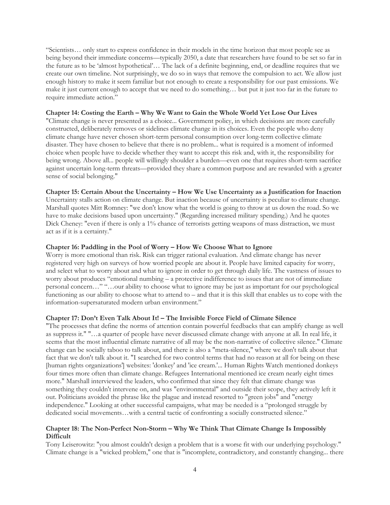"Scientists… only start to express confidence in their models in the time horizon that most people see as being beyond their immediate concerns—typically 2050, a date that researchers have found to be set so far in the future as to be 'almost hypothetical'… The lack of a definite beginning, end, or deadline requires that we create our own timeline. Not surprisingly, we do so in ways that remove the compulsion to act. We allow just enough history to make it seem familiar but not enough to create a responsibility for our past emissions. We make it just current enough to accept that we need to do something… but put it just too far in the future to require immediate action."

#### **Chapter 14: Costing the Earth – Why We Want to Gain the Whole World Yet Lose Our Lives**

"Climate change is never presented as a choice... Government policy, in which decisions are more carefully constructed, deliberately removes or sidelines climate change in its choices. Even the people who deny climate change have never chosen short-term personal consumption over long-term collective climate disaster. They have chosen to believe that there is no problem... what is required is a moment of informed choice when people have to decide whether they want to accept this risk and, with it, the responsibility for being wrong. Above all... people will willingly shoulder a burden—even one that requires short-term sacrifice against uncertain long-term threats—provided they share a common purpose and are rewarded with a greater sense of social belonging."

## **Chapter 15: Certain About the Uncertainty – How We Use Uncertainty as a Justification for Inaction**

Uncertainty stalls action on climate change. But inaction because of uncertainty is peculiar to climate change. Marshall quotes Mitt Romney: "we don't know what the world is going to throw at us down the road. So we have to make decisions based upon uncertainty." (Regarding increased military spending.) And he quotes Dick Cheney: "even if there is only a 1% chance of terrorists getting weapons of mass distraction, we must act as if it is a certainty."

## **Chapter 16: Paddling in the Pool of Worry – How We Choose What to Ignore**

Worry is more emotional than risk. Risk can trigger rational evaluation. And climate change has never registered very high on surveys of how worried people are about it. People have limited capacity for worry, and select what to worry about and what to ignore in order to get through daily life. The vastness of issues to worry about produces "emotional numbing – a protective indifference to issues that are not of immediate personal concern…" "…our ability to choose what to ignore may be just as important for our psychological functioning as our ability to choose what to attend to – and that it is this skill that enables us to cope with the information-supersaturated modern urban environment."

## **Chapter 17: Don't Even Talk About It! – The Invisible Force Field of Climate Silence**

"The processes that define the norms of attention contain powerful feedbacks that can amplify change as well as suppress it." "…a quarter of people have never discussed climate change with anyone at all. In real life, it seems that the most influential climate narrative of all may be the non-narrative of collective silence." Climate change can be socially taboo to talk about, and there is also a "meta-silence," where we don't talk about that fact that we don't talk about it. "I searched for two control terms that had no reason at all for being on these [human rights organizations'] websites: 'donkey' and 'ice cream.'... Human Rights Watch mentioned donkeys four times more often than climate change. Refugees International mentioned ice cream nearly eight times more." Marshall interviewed the leaders, who confirmed that since they felt that climate change was something they couldn't intervene on, and was "environmental" and outside their scope, they actively left it out. Politicians avoided the phrase like the plague and instead resorted to "green jobs" and "energy independence." Looking at other successful campaigns, what may be needed is a "prolonged struggle by dedicated social movements…with a central tactic of confronting a socially constructed silence."

## **Chapter 18: The Non-Perfect Non-Storm – Why We Think That Climate Change Is Impossibly Difficult**

Tony Leiserowitz: "you almost couldn't design a problem that is a worse fit with our underlying psychology." Climate change is a "wicked problem," one that is "incomplete, contradictory, and constantly changing... there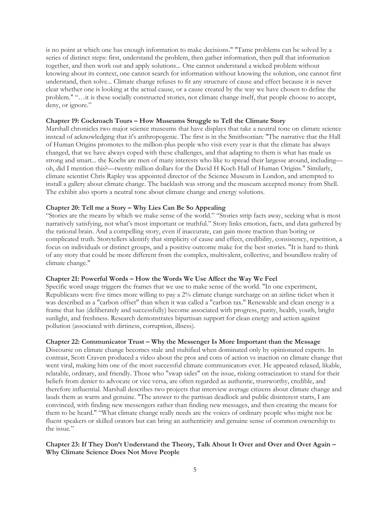is no point at which one has enough information to make decisions." "Tame problems can be solved by a series of distinct steps: first, understand the problem, then gather information, then pull that information together, and then work out and apply solutions... One cannot understand a wicked problem without knowing about its context, one cannot search for information without knowing the solution, one cannot first understand, then solve... Climate change refuses to fit any structure of cause and effect because it is never clear whether one is looking at the actual cause, or a cause created by the way we have chosen to define the problem." "…it is these socially constructed stories, not climate change itself, that people choose to accept, deny, or ignore."

# **Chapter 19: Cockroach Tours – How Museums Struggle to Tell the Climate Story**

Marshall chronicles two major science museums that have displays that take a neutral tone on climate science instead of acknowledging that it's anthropogenic. The first is in the Smithsonian: "The narrative that the Hall of Human Origins promotes to the million-plus people who visit every year is that the climate has always changed, that we have always coped with these challenges, and that adapting to them is what has made us strong and smart... the Kochs are men of many interests who like to spread their largesse around, including oh, did I mention this?—twenty million dollars for the David H Koch Hall of Human Origins." Similarly, climate scientist Chris Rapley was appointed director of the Science Museum in London, and attempted to install a gallery about climate change. The backlash was strong and the museum accepted money from Shell. The exhibit also sports a neutral tone about climate change and energy solutions.

# **Chapter 20: Tell me a Story – Why Lies Can Be So Appealing**

"Stories are the means by which we make sense of the world." "Stories strip facts away, seeking what is most narratively satisfying, not what's most important or truthful." Story links emotion, facts, and data gathered by the rational brain. And a compelling story, even if inaccurate, can gain more traction than boring or complicated truth. Storytellers identify that simplicity of cause and effect, credibility, consistency, repetition, a focus on individuals or distinct groups, and a positive outcome make for the best stories. "It is hard to think of any story that could be more different from the complex, multivalent, collective, and boundless reality of climate change."

# **Chapter 21: Powerful Words – How the Words We Use Affect the Way We Feel**

Specific word usage triggers the frames that we use to make sense of the world. "In one experiment, Republicans were five times more willing to pay a 2% climate change surcharge on an airline ticket when it was described as a "carbon offset" than when it was called a "carbon tax." Renewable and clean energy is a frame that has (deliberately and successfully) become associated with progress, purity, health, youth, bright sunlight, and freshness. Research demonstrates bipartisan support for clean energy and action against pollution (associated with dirtiness, corruption, illness).

# **Chapter 22: Communicator Trust – Why the Messenger Is More Important than the Message**

Discourse on climate change becomes stale and stultified when dominated only by opinionated experts. In contrast, Scott Craven produced a video about the pros and cons of action vs inaction on climate change that went viral, making him one of the most successful climate communicators ever. He appeared relaxed, likable, relatable, ordinary, and friendly. Those who "swap sides" on the issue, risking ostracization to stand for their beliefs from denier to advocate or vice versa, are often regarded as authentic, trustworthy, credible, and therefore influential. Marshall describes two projects that interview average citizens about climate change and lauds them as warm and genuine. "The answer to the partisan deadlock and public disinterest starts, I am convinced, with finding new messengers rather than finding new messages, and then creating the means for them to be heard." "What climate change really needs are the voices of ordinary people who might not be fluent speakers or skilled orators but can bring an authenticity and genuine sense of common ownership to the issue."

# **Chapter 23: If They Don't Understand the Theory, Talk About It Over and Over and Over Again – Why Climate Science Does Not Move People**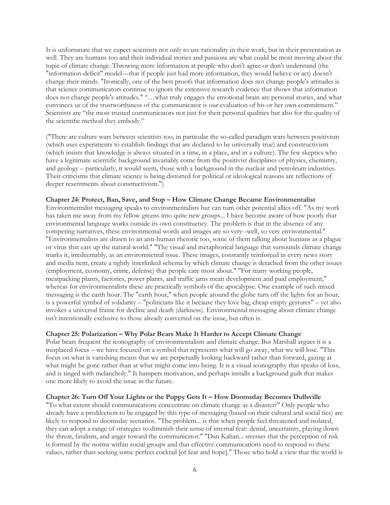It is unfortunate that we expect scientists not only to use rationality in their work, but in their presentation as well. They are humans too and their individual stories and passions are what could be most moving about the topic of climate change. Throwing more information at people who don't agree or don't understand (the "information-deficit" model—that if people just had more information, they would believe or act) doesn't change their minds. "Ironically, one of the best proofs that information does not change people's attitudes is that science communicators continue to ignore the extensive research evidence that shows that information does not change people's attitudes." "…what truly engages the emotional brain are personal stories, and what convinces us of the trustworthiness of the communicator is our evaluation of his or her own commitment." Scientists are "the most trusted communicators not just for their personal qualities but also for the quality of the scientific method they embody."

("There are culture wars between scientists too, in particular the so-called paradigm wars between positivism (which uses experiments to establish findings that are declared to be universally true) and constructivism (which insists that knowledge is always situated in a time, in a place, and in a culture). The few skeptics who have a legitimate scientific background invariably come from the positivist disciplines of physics, chemistry, and geology – particularly, it would seem, those with a background in the nuclear and petroleum industries. Their criticisms that climate science is being distorted for political or ideological reasons are reflections of deeper resentments about constructivism.")

#### **Chapter 24: Protect, Ban, Save, and Stop – How Climate Change Became Environmentalist**

Environmentalist messaging speaks to environmentalists but can turn other potential allies off. "As my work has taken me away from my fellow greens into quite new groups... I have become aware of how poorly that environmental language works outside its own constituency. The problem is that in the absence of any competing narratives, these environmental words and images are so very--well, so very environmental." "Environmentalists are drawn to an anti-human rhetoric too, some of them talking about humans as a plague or virus that eats up the natural world." "The visual and metaphorical language that surrounds climate change marks it, irredeemably, as an environmental issue. These images, constantly reinforced in every news story and media item, create a tightly interlinked schema by which climate change is detached from the other issues (employment, economy, crime, defense) that people care most about." "For many working people, meatpacking plants, factories, power plants, and traffic jams mean development and paid employment," whereas for environmentalists these are practically symbols of the apocalypse. One example of such mixed messaging is the earth hour. The "earth hour," when people around the globe turn off the lights for an hour, is a powerful symbol of solidarity – "politicians like it because they love big, cheap empty gestures" – yet also invokes a universal frame for decline and death (darkness). Environmental messaging about climate change isn't intentionally exclusive to those already converted on the issue, but often is.

## **Chapter 25: Polarization – Why Polar Bears Make It Harder to Accept Climate Change**

Polar bears frequent the iconography of environmentalism and climate change. But Marshall argues it is a misplaced focus – we have focused on a symbol that represents what will go away, what we will lose. "This focus on what is vanishing means that we are perpetually looking backward rather than forward, gazing at what might be gone rather than at what might come into being. It is a visual iconography that speaks of loss, and is tinged with melancholy." It hampers motivation, and perhaps installs a background guilt that makes one more likely to avoid the issue in the future.

## **Chapter 26: Turn Off Your Lights or the Puppy Gets It – How Doomsday Becomes Dullsville**

"To what extent should communications concentrate on climate change as a disaster?" Only people who already have a predilection to be engaged by this type of messaging (based on their cultural and social ties) are likely to respond to doomsday scenarios. "The problem... is that when people feel threatened and isolated, they can adopt a range of strategies to diminish their sense of internal fear: denial, uncertainty, playing down the threat, fatalism, and anger toward the communicator." "Dan Kahan... stresses that the perception of risk is formed by the norms within social groups and that effective communications need to respond to these values, rather than seeking some perfect cocktail [of fear and hope]." Those who hold a view that the world is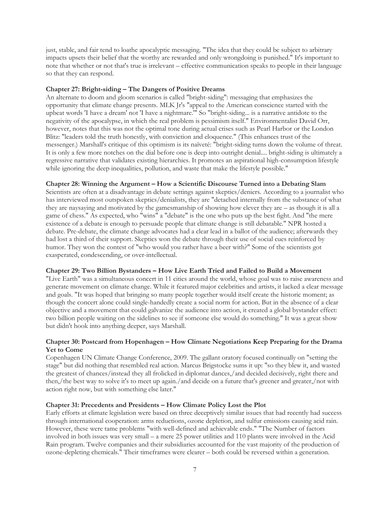just, stable, and fair tend to loathe apocalyptic messaging. "The idea that they could be subject to arbitrary impacts upsets their belief that the worthy are rewarded and only wrongdoing is punished." It's important to note that whether or not that's true is irrelevant – effective communication speaks to people in their language so that they can respond.

## **Chapter 27: Bright-siding – The Dangers of Positive Dreams**

An alternate to doom and gloom scenarios is called "bright-siding": messaging that emphasizes the opportunity that climate change presents. MLK Jr's "appeal to the American conscience started with the upbeat words 'I have a dream' not 'I have a nightmare.'" So "bright-siding... is a narrative antidote to the negativity of the apocalypse, in which the real problem is pessimism itself." Environmentalist David Orr, however, notes that this was not the optimal tone during actual crises such as Pearl Harbor or the London Blitz: "leaders told the truth honestly, with conviction and eloquence." (This enhances trust of the messenger.) Marshall's critique of this optimism is its naïveté: "bright-siding turns down the volume of threat. It is only a few more notches on the dial before one is deep into outright denial.... bright-siding is ultimately a regressive narrative that validates existing hierarchies. It promotes an aspirational high-consumption lifestyle while ignoring the deep inequalities, pollution, and waste that make the lifestyle possible."

## **Chapter 28: Winning the Argument – How a Scientific Discourse Turned into a Debating Slam**

Scientists are often at a disadvantage in debate settings against skeptics/deniers. According to a journalist who has interviewed most outspoken skeptics/denialists, they are "detached internally from the substance of what they are naysaying and motivated by the gamesmanship of showing how clever they are – as though it is all a game of chess." As expected, who "wins" a "debate" is the one who puts up the best fight. And "the mere existence of a debate is enough to persuade people that climate change is still debatable." NPR hosted a debate. Pre-debate, the climate change advocates had a clear lead in a ballot of the audience; afterwards they had lost a third of their support. Skeptics won the debate through their use of social cues reinforced by humor. They won the contest of "who would you rather have a beer with?" Some of the scientists got exasperated, condescending, or over-intellectual.

## **Chapter 29: Two Billion Bystanders – How Live Earth Tried and Failed to Build a Movement**

"Live Earth" was a simultaneous concert in 11 cities around the world, whose goal was to raise awareness and generate movement on climate change. While it featured major celebrities and artists, it lacked a clear message and goals. "It was hoped that bringing so many people together would itself create the historic moment; as though the concert alone could single-handedly create a social norm for action. But in the absence of a clear objective and a movement that could galvanize the audience into action, it created a global bystander effect: two billion people waiting on the sidelines to see if someone else would do something." It was a great show but didn't hook into anything deeper, says Marshall.

# **Chapter 30: Postcard from Hopenhagen – How Climate Negotiations Keep Preparing for the Drama Yet to Come**

Copenhagen UN Climate Change Conference, 2009. The gallant oratory focused continually on "setting the stage" but did nothing that resembled real action. Marcus Brigstocke sums it up: "so they blew it, and wasted the greatest of chances/instead they all frolicked in diplomat dances,/and decided decisively, right there and then,/the best way to solve it's to meet up again./and decide on a future that's greener and greater,/not with action right now, but with something else later."

#### **Chapter 31: Precedents and Presidents – How Climate Policy Lost the Plot**

Early efforts at climate legislation were based on three deceptively similar issues that had recently had success through international cooperation: arms reductions, ozone depletion, and sulfur emissions causing acid rain. However, these were tame problems "with well-defined and achievable ends." "The Number of factors involved in both issues was very small – a mere 25 power utilities and 110 plants were involved in the Acid Rain program. Twelve companies and their subsidiaries accounted for the vast majority of the production of ozone-depleting chemicals." Their timeframes were clearer – both could be reversed within a generation.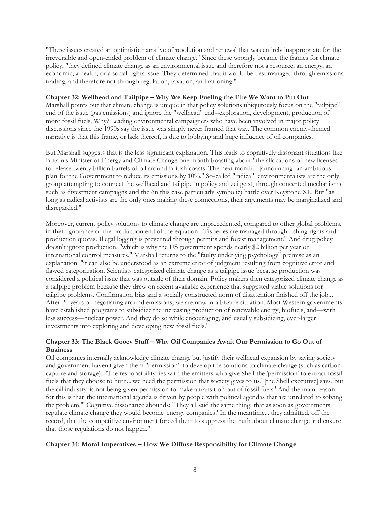"These issues created an optimistic narrative of resolution and renewal that was entirely inappropriate for the irreversible and open-ended problem of climate change." Since these wrongly became the frames for climate policy, "they defined climate change as an environmental issue and therefore not a resource, an energy, an economic, a health, or a social rights issue. They determined that it would be best managed through emissions trading, and therefore not through regulation, taxation, and rationing."

## **Chapter 32: Wellhead and Tailpipe – Why We Keep Fueling the Fire We Want to Put Out**

Marshall points out that climate change is unique in that policy solutions ubiquitously focus on the "tailpipe" end of the issue (gas emissions) and ignore the "wellhead" end--exploration, development, production of more fossil fuels. Why? Leading environmental campaigners who have been involved in major policy discussions since the 1990s say the issue was simply never framed that way. The common enemy-themed narrative is that this frame, or lack thereof, is due to lobbying and huge influence of oil companies.

But Marshall suggests that is the less significant explanation. This leads to cognitively dissonant situations like Britain's Minister of Energy and Climate Change one month boasting about "the allocations of new licenses to release twenty billion barrels of oil around British coasts. The next month... [announcing] an ambitious plan for the Government to reduce its emissions by 10%." So-called "radical" environmentalists are the only group attempting to connect the wellhead and tailpipe in policy and zeitgeist, through concerted mechanisms such as divestment campaigns and the (in this case particularly symbolic) battle over Keystone XL. But "as long as radical activists are the only ones making these connections, their arguments may be marginalized and disregarded."

Moreover, current policy solutions to climate change are unprecedented, compared to other global problems, in their ignorance of the production end of the equation. "Fisheries are managed through fishing rights and production quotas. Illegal logging is prevented through permits and forest management." And drug policy doesn't ignore production, "which is why the US government spends nearly \$2 billion per year on international control measures." Marshall returns to the "faulty underlying psychology" premise as an explanation: "it can also be understood as an extreme error of judgment resulting from cognitive error and flawed categorization. Scientists categorized climate change as a tailpipe issue because production was considered a political issue that was outside of their domain. Policy makers then categorized climate change as a tailpipe problem because they drew on recent available experience that suggested viable solutions for tailpipe problems. Confirmation bias and a socially constructed norm of disattention finished off the job... After 20 years of negotiating around emissions, we are now in a bizarre situation. Most Western governments have established programs to subsidize the increasing production of renewable energy, biofuels, and—with less success—nuclear power. And they do so while encouraging, and usually subsidizing, ever-larger investments into exploring and developing new fossil fuels."

# **Chapter 33: The Black Gooey Stuff – Why Oil Companies Await Our Permission to Go Out of Business**

Oil companies internally acknowledge climate change but justify their wellhead expansion by saying society and government haven't given them "permission" to develop the solutions to climate change (such as carbon capture and storage). "The responsibility lies with the emitters who give Shell the 'permission' to extract fossil fuels that they choose to burn...'we need the permission that society gives to us,' [the Shell executive] says, but the oil industry 'is not being given permission to make a transition out of fossil fuels.' And the main reason for this is that 'the international agenda is driven by people with political agendas that are unrelated to solving the problem.'" Cognitive dissonance abounds: "They all said the same thing: that as soon as governments regulate climate change they would become 'energy companies.' In the meantime... they admitted, off the record, that the competitive environment forced them to suppress the truth about climate change and ensure that those regulations do not happen."

# **Chapter 34: Moral Imperatives – How We Diffuse Responsibility for Climate Change**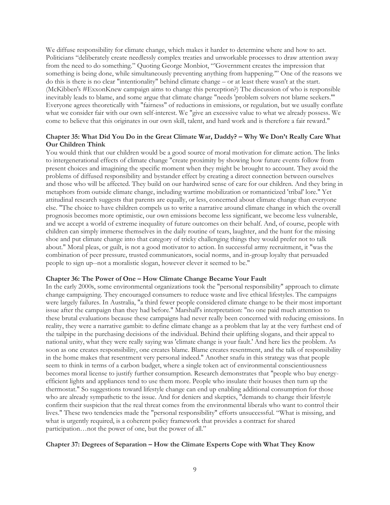We diffuse responsibility for climate change, which makes it harder to determine where and how to act. Politicians "deliberately create needlessly complex treaties and unworkable processes to draw attention away from the need to do something." Quoting George Monbiot, "'Government creates the impression that something is being done, while simultaneously preventing anything from happening.'" One of the reasons we do this is there is no clear "intentionality" behind climate change – or at least there wasn't at the start. (McKibben's #ExxonKnew campaign aims to change this perception?) The discussion of who is responsible inevitably leads to blame, and some argue that climate change "needs 'problem solvers not blame seekers.'" Everyone agrees theoretically with "fairness" of reductions in emissions, or regulation, but we usually conflate what we consider fair with our own self-interest. We "give an excessive value to what we already possess. We come to believe that this originates in our own skill, talent, and hard work and is therefore a fair reward."

# **Chapter 35: What Did You Do in the Great Climate War, Daddy? – Why We Don't Really Care What Our Children Think**

You would think that our children would be a good source of moral motivation for climate action. The links to intergenerational effects of climate change "create proximity by showing how future events follow from present choices and imagining the specific moment when they might be brought to account. They avoid the problems of diffused responsibility and bystander effect by creating a direct connection between ourselves and those who will be affected. They build on our hardwired sense of care for our children. And they bring in metaphors from outside climate change, including wartime mobilization or romanticized 'tribal' lore." Yet attitudinal research suggests that parents are equally, or less, concerned about climate change than everyone else. "The choice to have children compels us to write a narrative around climate change in which the overall prognosis becomes more optimistic, our own emissions become less significant, we become less vulnerable, and we accept a world of extreme inequality of future outcomes on their behalf. And, of course, people with children can simply immerse themselves in the daily routine of tears, laughter, and the hunt for the missing shoe and put climate change into that category of tricky challenging things they would prefer not to talk about." Moral pleas, or guilt, is not a good motivator to action. In successful army recruitment, it "was the combination of peer pressure, trusted communicators, social norms, and in-group loyalty that persuaded people to sign up--not a moralistic slogan, however clever it seemed to be."

# **Chapter 36: The Power of One – How Climate Change Became Your Fault**

In the early 2000s, some environmental organizations took the "personal responsibility" approach to climate change campaigning. They encouraged consumers to reduce waste and live ethical lifestyles. The campaigns were largely failures. In Australia, "a third fewer people considered climate change to be their most important issue after the campaign than they had before." Marshall's interpretation: "no one paid much attention to these brutal evaluations because these campaigns had never really been concerned with reducing emissions. In reality, they were a narrative gambit: to define climate change as a problem that lay at the very furthest end of the tailpipe in the purchasing decisions of the individual. Behind their uplifting slogans, and their appeal to national unity, what they were really saying was 'climate change is your fault.' And here lies the problem. As soon as one creates responsibility, one creates blame. Blame creates resentment, and the talk of responsibility in the home makes that resentment very personal indeed." Another snafu in this strategy was that people seem to think in terms of a carbon budget, where a single token act of environmental conscientiousness becomes moral license to justify further consumption. Research demonstrates that "people who buy energyefficient lights and appliances tend to use them more. People who insulate their houses then turn up the thermostat." So suggestions toward lifestyle change can end up enabling additional consumption for those who are already sympathetic to the issue. And for deniers and skeptics, "demands to change their lifestyle confirm their suspicion that the real threat comes from the environmental liberals who want to control their lives." These two tendencies made the "personal responsibility" efforts unsuccessful. "What is missing, and what is urgently required, is a coherent policy framework that provides a contract for shared participation…not the power of one, but the power of all."

#### **Chapter 37: Degrees of Separation – How the Climate Experts Cope with What They Know**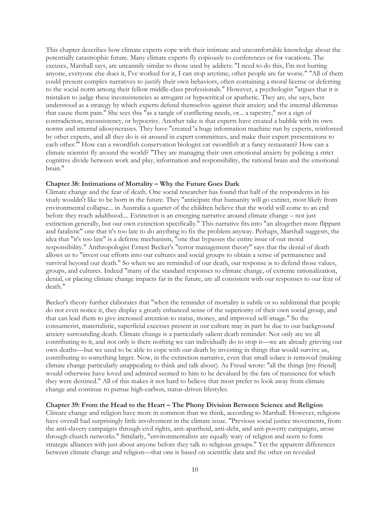This chapter describes how climate experts cope with their intimate and uncomfortable knowledge about the potentially catastrophic future. Many climate experts fly copiously to conferences or for vacations. The excuses, Marshall says, are uncannily similar to those used by addicts: "I need to do this, I'm not hurting anyone, everyone else does it, I've worked for it, I can stop anytime, other people are far worse." "All of them could present complex narratives to justify their own behaviors, often containing a moral license or deferring to the social norm among their fellow middle-class professionals." However, a psychologist "argues that it is mistaken to judge these inconsistencies as arrogant or hypocritical or apathetic. They are, she says, best understood as a strategy by which experts defend themselves against their anxiety and the internal dilemmas that cause them pain." She sees this "as a tangle of conflicting needs, or... a tapestry," not a sign of contradiction, inconsistency, or hypocrisy. Another take is that experts have created a bubble with its own norms and internal idiosyncrasies. They have "created 'a huge information machine run by experts, reinforced by other experts, and all they do is sit around in expert committees, and make their expert presentations to each other.'" How can a swordfish conservation biologist eat swordfish at a fancy restaurant? How can a climate scientist fly around the world? "They are managing their own emotional anxiety by policing a strict cognitive divide between work and play, information and responsibility, the rational brain and the emotional brain."

## **Chapter 38: Intimations of Mortality – Why the Future Goes Dark**

Climate change and the fear of death. One social researcher has found that half of the respondents in his study wouldn't like to be born in the future. They "anticipate that humanity will go extinct, most likely from environmental collapse... in Australia a quarter of the children believe that the world will come to an end before they reach adulthood.... Extinction is an emerging narrative around climate change – not just extinction generally, but our own extinction specifically." This narrative fits into "an altogether more flippant and fatalistic" one that it's too late to do anything to fix the problem anyway. Perhaps, Marshall suggests, the idea that "it's too late" is a defense mechanism, "one that bypasses the entire issue of our moral responsibility." Anthropologist Ernest Becker's "terror management theory" says that the denial of death allows us to "invest our efforts into our cultures and social groups to obtain a sense of permanence and survival beyond our death." So when we are reminded of our death, our response is to defend those values, groups, and cultures. Indeed "many of the standard responses to climate change, of extreme rationalization, denial, or placing climate change impacts far in the future, are all consistent with our responses to our fear of death."

Becker's theory further elaborates that "when the reminder of mortality is subtle or so subliminal that people do not even notice it, they display a greatly enhanced sense of the superiority of their own social group, and that can lead them to give increased attention to status, money, and improved self-image." So the consumerist, materialistic, superficial excesses present in our culture may in part be due to our background anxiety surrounding death. Climate change is a particularly salient death reminder. Not only are we all contributing to it, and not only is there nothing we can individually do to stop it—we are already grieving our own deaths—but we used to be able to cope with our death by investing in things that would survive us, contributing to something larger. Now, in the extinction narrative, even that small solace is removed (making climate change particularly unappealing to think and talk about). As Freud wrote: "all the things [my friend] would otherwise have loved and admired seemed to him to be devalued by the fate of transience for which they were destined." All of this makes it not hard to believe that most prefer to look away from climate change and continue to pursue high-carbon, status-driven lifestyles.

#### **Chapter 39: From the Head to the Heart – The Phony Division Between Science and Religion**

Climate change and religion have more in common than we think, according to Marshall. However, religions have overall had surprisingly little involvement in the climate issue. "Previous social justice movements, from the anti-slavery campaigns through civil rights, anti-apartheid, anti-debt, and anti-poverty campaigns, arose through church networks." Similarly, "environmentalists are equally wary of religion and seem to form strategic alliances with just about anyone before they talk to religious groups." Yet the apparent differences between climate change and religion—that one is based on scientific data and the other on revealed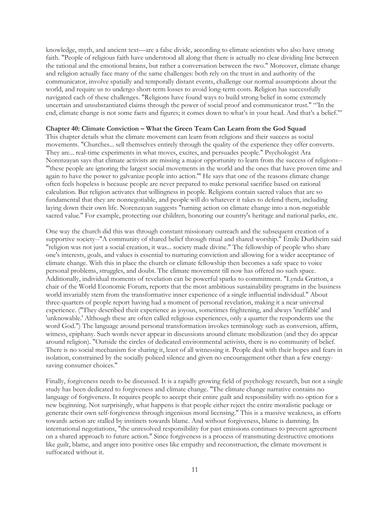knowledge, myth, and ancient text—are a false divide, according to climate scientists who also have strong faith. "People of religious faith have understood all along that there is actually no clear dividing line between the rational and the emotional brains, but rather a conversation between the two." Moreover, climate change and religion actually face many of the same challenges: both rely on the trust in and authority of the communicator, involve spatially and temporally distant events, challenge our normal assumptions about the world, and require us to undergo short-term losses to avoid long-term costs. Religion has successfully navigated each of these challenges. "Religions have found ways to build strong belief in some extremely uncertain and unsubstantiated claims through the power of social proof and communicator trust." "'In the end, climate change is not some facts and figures; it comes down to what's in your head. And that's a belief.'"

#### **Chapter 40: Climate Conviction – What the Green Team Can Learn from the God Squad**

This chapter details what the climate movement can learn from religions and their success as social movements. "Churches... sell themselves entirely through the quality of the experience they offer converts. They are... real-time experiments in what moves, excites, and persuades people." Psychologist Ara Norenzayan says that climate activists are missing a major opportunity to learn from the success of religions-- "'these people are ignoring the largest social movements in the world and the ones that have proven time and again to have the power to galvanize people into action.'" He says that one of the reasons climate change often feels hopeless is because people are never prepared to make personal sacrifice based on rational calculation. But religion activates that willingness in people. Religions contain sacred values that are so fundamental that they are nonnegotiable, and people will do whatever it takes to defend them, including laying down their own life. Norenzayan suggests "turning action on climate change into a non-negotiable sacred value." For example, protecting our children, honoring our country's heritage and national parks, etc.

One way the church did this was through constant missionary outreach and the subsequent creation of a supportive society--"A community of shared belief through ritual and shared worship." Émile Durkheim said "religion was not just a social creation, it was... society made divine." The fellowship of people who share one's interests, goals, and values is essential to nurturing conviction and allowing for a wider acceptance of climate change. With this in place the church or climate fellowship then becomes a safe space to voice personal problems, struggles, and doubt. The climate movement till now has offered no such space. Additionally, individual moments of revelation can be powerful sparks to commitment. "Lynda Gratton, a chair of the World Economic Forum, reports that the most ambitious sustainability programs in the business world invariably stem from the transformative inner experience of a single influential individual." About three-quarters of people report having had a moment of personal revelation, making it a near universal experience. ("They described their experience as joyous, sometimes frightening, and always 'ineffable' and 'unknowable.' Although these are often called religious experiences, only a quarter the respondents use the word God.") The language around personal transformation invokes terminology such as conversion, affirm, witness, epiphany. Such words never appear in discussions around climate mobilization (and they do appear around religion). "Outside the circles of dedicated environmental activists, there is no community of belief. There is no social mechanism for sharing it, least of all witnessing it. People deal with their hopes and fears in isolation, constrained by the socially policed silence and given no encouragement other than a few energysaving consumer choices."

Finally, forgiveness needs to be discussed. It is a rapidly growing field of psychology research, but not a single study has been dedicated to forgiveness and climate change. "The climate change narrative contains no language of forgiveness. It requires people to accept their entire guilt and responsibility with no option for a new beginning. Not surprisingly, what happens is that people either reject the entire moralistic package or generate their own self-forgiveness through ingenious moral licensing." This is a massive weakness, as efforts towards action are stalled by instincts towards blame. And without forgiveness, blame is damning. In international negotiations, "the unresolved responsibility for past emissions continues to prevent agreement on a shared approach to future action." Since forgiveness is a process of transmuting destructive emotions like guilt, blame, and anger into positive ones like empathy and reconstruction, the climate movement is suffocated without it.